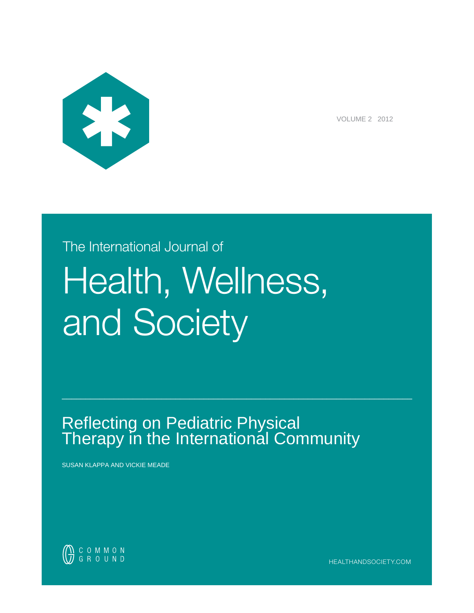

VOLUME 2 2012

# The International Journal of Health, Wellness, and Society

# Reflecting on Pediatric Physical Therapy in the International Community

BBBBBBBBBBBBBBBBBBBBBBBBBBBBBBBBBBBBBBBBBBBBBBBBBBBBBBBBBBBBBBBBBBBBBBBBBB

SUSAN KLAPPA AND VICKIE MEADE



HEALTHANDSOCIETY.COM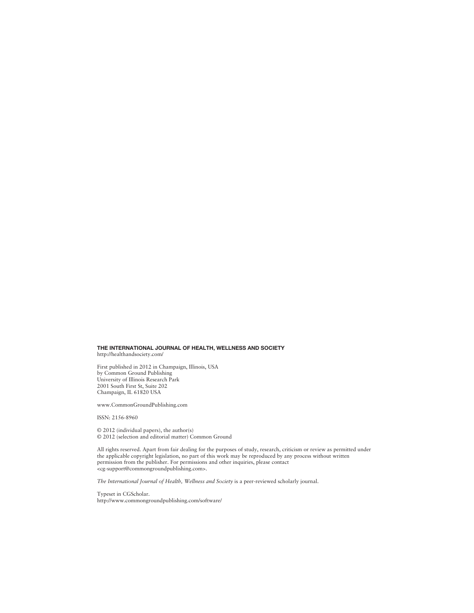#### THE INTERNATIONAL JOURNAL OF HEALTH, WELLNESS AND SOCIETY http://healthandsociety.com/

First published in 2012 in Champaign, Illinois, USA by Common Ground Publishing University of Illinois Research Park 2001 South First St, Suite 202 Champaign, IL 61820 USA

www.CommonGroundPublishing.com

ISSN: 2156-8960

© 2012 (individual papers), the author(s) © 2012 (selection and editorial matter) Common Ground

All rights reserved. Apart from fair dealing for the purposes of study, research, criticism or review as permitted under the applicable copyright legislation, no part of this work may be reproduced by any process without written permission from the publisher. For permissions and other inquiries, please contact <cg-support@commongroundpublishing.com>.

The International Journal of Health, Wellness and Society is a peer-reviewed scholarly journal.

Typeset in CGScholar. http://www.commongroundpublishing.com/software/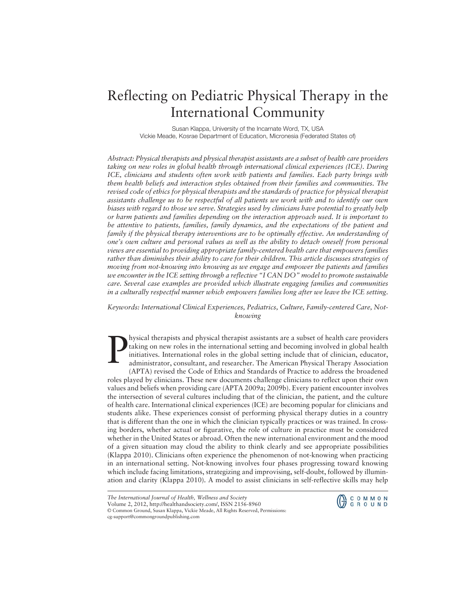## Reflecting on Pediatric Physical Therapy in the International Community

Susan Klappa, University of the Incarnate Word, TX, USA Vickie Meade, Kosrae Department of Education, Micronesia (Federated States of)

*Abstract: Physical therapists and physical therapist assistants are a subset of health care providers taking on new roles in global health through international clinical experiences (ICE). During ICE, clinicians and students often work with patients and families. Each party brings with them health beliefs and interaction styles obtained from their families and communities. The revised code of ethics for physical therapists and the standards of practice for physical therapist assistants challenge us to be respectful of all patients we work with and to identify our own biases with regard to those we serve. Strategies used by clinicians have potential to greatly help or harm patients and families depending on the interaction approach used. It is important to be attentive to patients, families, family dynamics, and the expectations of the patient and family if the physical therapy interventions are to be optimally effective. An understanding of one's own culture and personal values as well as the ability to detach oneself from personal views are essential to providing appropriate family-centered health care that empowers families rather than diminishes their ability to care for their children. This article discusses strategies of moving from not-knowing into knowing as we engage and empower the patients and families we encounter in the ICE setting through a reflective "I CAN DO" model to promote sustainable care. Several case examples are provided which illustrate engaging families and communities in a culturally respectful manner which empowers families long after we leave the ICE setting.*

*Keywords: International Clinical Experiences, Pediatrics, Culture, Family-centered Care, Notknowing*

P hysical therapists and physical therapist assistants are a subset of health care providers taking on new roles in the international setting and becoming involved in global health initiatives. International roles in the global setting include that of clinician, educator, administrator, consultant, and researcher. The American Physical Therapy Association (APTA) revised the Code of Ethics and Standards of Practice to address the broadened roles played by clinicians. These new documents challenge clinicians to reflect upon their own values and beliefs when providing care (APTA 2009a; 2009b). Every patient encounter involves the intersection of several cultures including that of the clinician, the patient, and the culture of health care. International clinical experiences (ICE) are becoming popular for clinicians and students alike. These experiences consist of performing physical therapy duties in a country that is different than the one in which the clinician typically practices or was trained. In crossing borders, whether actual or figurative, the role of culture in practice must be considered whether in the United States or abroad. Often the new international environment and the mood of a given situation may cloud the ability to think clearly and see appropriate possibilities (Klappa 2010). Clinicians often experience the phenomenon of not-knowing when practicing in an international setting. Not-knowing involves four phases progressing toward knowing which include facing limitations, strategizing and improvising, self-doubt, followed by illumination and clarity (Klappa 2010). A model to assist clinicians in self-reflective skills may help



*The International Journal of Health, Wellness and Society*

Volume 2, 2012, http://healthandsociety.com/, ISSN 2156-8960

<sup>©</sup> Common Ground, Susan Klappa, Vickie Meade, All Rights Reserved, Permissions:

cg-support@commongroundpublishing.com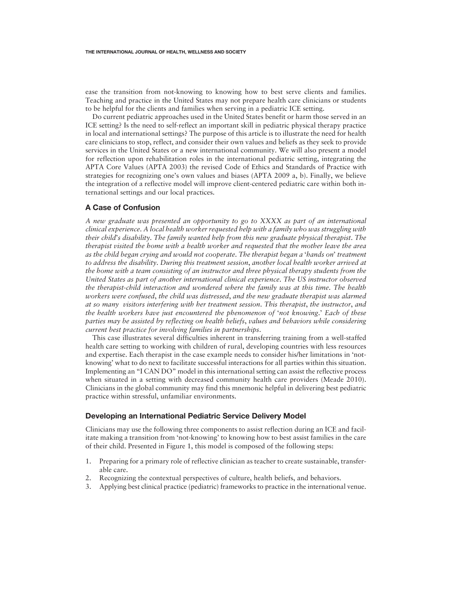ease the transition from not-knowing to knowing how to best serve clients and families. Teaching and practice in the United States may not prepare health care clinicians or students to be helpful for the clients and families when serving in a pediatric ICE setting.

Do current pediatric approaches used in the United States benefit or harm those served in an ICE setting? Is the need to self-reflect an important skill in pediatric physical therapy practice in local and international settings? The purpose of this article is to illustrate the need for health care clinicians to stop, reflect, and consider their own values and beliefs as they seek to provide services in the United States or a new international community. We will also present a model for reflection upon rehabilitation roles in the international pediatric setting, integrating the APTA Core Values (APTA 2003) the revised Code of Ethics and Standards of Practice with strategies for recognizing one's own values and biases (APTA 2009 a, b). Finally, we believe the integration of a reflective model will improve client-centered pediatric care within both international settings and our local practices.

#### A Case of Confusion

*A new graduate was presented an opportunity to go to XXXX as part of an international clinical experience*. *A local health worker requested help with a family who was struggling with their child*'*s disability*. *The family wanted help from this new graduate physical therapist*. *The therapist visited the home with a health worker and requested that the mother leave the area as the child began crying and would not cooperate*. *The therapist began a* '*hands on*' *treatment to address the disability*. *During this treatment session*, *another local health worker arrived at the home with a team consisting of an instructor and three physical therapy students from the United States as part of another international clinical experience*. *The US instructor observed the therapist*-*child interaction and wondered where the family was at this time*. *The health workers were confused*, *the child was distressed*, *and the new graduate therapist was alarmed at so many visitors interfering with her treatment session*. *This therapist*, *the instructor*, *and the health workers have just encountered the phenomenon of* '*not knowing*.' *Each of these parties may be assisted by reflecting on health beliefs*, *values and behaviors while considering current best practice for involving families in partnerships*.

This case illustrates several difficulties inherent in transferring training from a well-staffed health care setting to working with children of rural, developing countries with less resources and expertise. Each therapist in the case example needs to consider his/her limitations in 'notknowing' what to do next to facilitate successful interactions for all parties within this situation. Implementing an "I CAN DO" model in this international setting can assist the reflective process when situated in a setting with decreased community health care providers (Meade 2010). Clinicians in the global community may find this mnemonic helpful in delivering best pediatric practice within stressful, unfamiliar environments.

#### Developing an International Pediatric Service Delivery Model

Clinicians may use the following three components to assist reflection during an ICE and facilitate making a transition from 'not-knowing' to knowing how to best assist families in the care of their child. Presented in Figure 1, this model is composed of the following steps:

- 1. Preparing for a primary role of reflective clinician as teacher to create sustainable, transferable care.
- 2. Recognizing the contextual perspectives of culture, health beliefs, and behaviors.
- 3. Applying best clinical practice (pediatric) frameworks to practice in the international venue.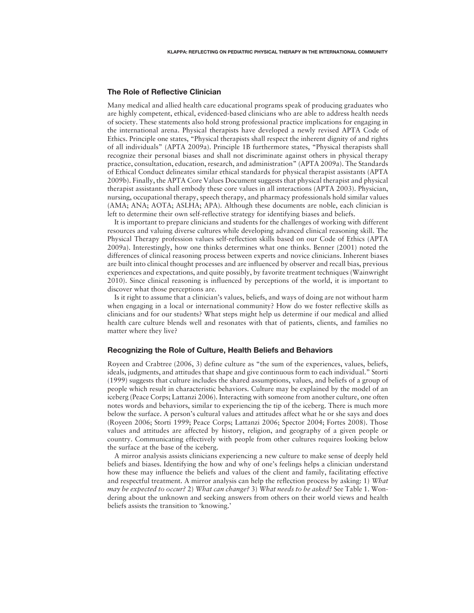#### The Role of Reflective Clinician

Many medical and allied health care educational programs speak of producing graduates who are highly competent, ethical, evidenced-based clinicians who are able to address health needs of society. These statements also hold strong professional practice implications for engaging in the international arena. Physical therapists have developed a newly revised APTA Code of Ethics. Principle one states, "Physical therapists shall respect the inherent dignity of and rights of all individuals" (APTA 2009a). Principle 1B furthermore states, "Physical therapists shall recognize their personal biases and shall not discriminate against others in physical therapy practice, consultation, education, research, and administration" (APTA 2009a). The Standards of Ethical Conduct delineates similar ethical standards for physical therapist assistants (APTA 2009b). Finally, the APTA Core Values Document suggests that physical therapist and physical therapist assistants shall embody these core values in all interactions (APTA 2003). Physician, nursing, occupational therapy, speech therapy, and pharmacy professionals hold similar values (AMA; ANA; AOTA; ASLHA; APA). Although these documents are noble, each clinician is left to determine their own self-reflective strategy for identifying biases and beliefs.

It is important to prepare clinicians and students for the challenges of working with different resources and valuing diverse cultures while developing advanced clinical reasoning skill. The Physical Therapy profession values self-reflection skills based on our Code of Ethics (APTA 2009a). Interestingly, how one thinks determines what one thinks. Benner (2001) noted the differences of clinical reasoning process between experts and novice clinicians. Inherent biases are built into clinical thought processes and are influenced by observer and recall bias, previous experiences and expectations, and quite possibly, by favorite treatment techniques (Wainwright 2010). Since clinical reasoning is influenced by perceptions of the world, it is important to discover what those perceptions are.

Is it right to assume that a clinician's values, beliefs, and ways of doing are not without harm when engaging in a local or international community? How do we foster reflective skills as clinicians and for our students? What steps might help us determine if our medical and allied health care culture blends well and resonates with that of patients, clients, and families no matter where they live?

#### Recognizing the Role of Culture, Health Beliefs and Behaviors

Royeen and Crabtree (2006, 3) define culture as "the sum of the experiences, values, beliefs, ideals, judgments, and attitudes that shape and give continuous form to each individual." Storti (1999) suggests that culture includes the shared assumptions, values, and beliefs of a group of people which result in characteristic behaviors. Culture may be explained by the model of an iceberg (Peace Corps; Lattanzi 2006). Interacting with someone from another culture, one often notes words and behaviors, similar to experiencing the tip of the iceberg. There is much more below the surface. A person's cultural values and attitudes affect what he or she says and does (Royeen 2006; Storti 1999; Peace Corps; Lattanzi 2006; Spector 2004; Fortes 2008). Those values and attitudes are affected by history, religion, and geography of a given people or country. Communicating effectively with people from other cultures requires looking below the surface at the base of the iceberg.

A mirror analysis assists clinicians experiencing a new culture to make sense of deeply held beliefs and biases. Identifying the how and why of one's feelings helps a clinician understand how these may influence the beliefs and values of the client and family, facilitating effective and respectful treatment. A mirror analysis can help the reflection process by asking: 1) *What may be expected to occur?* 2) *What can change?* 3) *What needs to be asked?* See Table 1. Wondering about the unknown and seeking answers from others on their world views and health beliefs assists the transition to 'knowing.'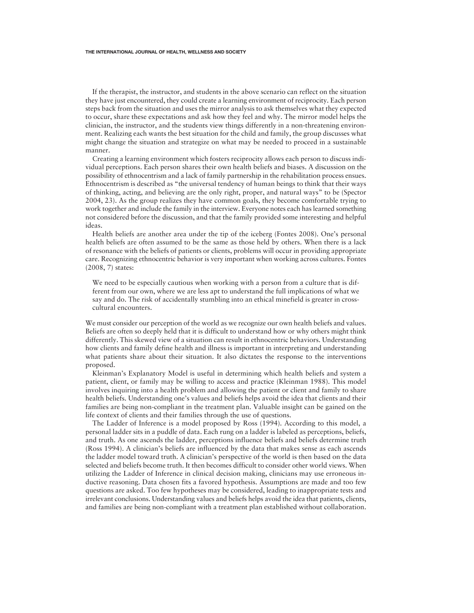If the therapist, the instructor, and students in the above scenario can reflect on the situation they have just encountered, they could create a learning environment of reciprocity. Each person steps back from the situation and uses the mirror analysis to ask themselves what they expected to occur, share these expectations and ask how they feel and why. The mirror model helps the clinician, the instructor, and the students view things differently in a non-threatening environment. Realizing each wants the best situation for the child and family, the group discusses what might change the situation and strategize on what may be needed to proceed in a sustainable manner.

Creating a learning environment which fosters reciprocity allows each person to discuss individual perceptions. Each person shares their own health beliefs and biases. A discussion on the possibility of ethnocentrism and a lack of family partnership in the rehabilitation process ensues. Ethnocentrism is described as "the universal tendency of human beings to think that their ways of thinking, acting, and believing are the only right, proper, and natural ways" to be (Spector 2004, 23). As the group realizes they have common goals, they become comfortable trying to work together and include the family in the interview. Everyone notes each has learned something not considered before the discussion, and that the family provided some interesting and helpful ideas.

Health beliefs are another area under the tip of the iceberg (Fontes 2008). One's personal health beliefs are often assumed to be the same as those held by others. When there is a lack of resonance with the beliefs of patients or clients, problems will occur in providing appropriate care. Recognizing ethnocentric behavior is very important when working across cultures. Fontes (2008, 7) states:

We need to be especially cautious when working with a person from a culture that is different from our own, where we are less apt to understand the full implications of what we say and do. The risk of accidentally stumbling into an ethical minefield is greater in crosscultural encounters.

We must consider our perception of the world as we recognize our own health beliefs and values. Beliefs are often so deeply held that it is difficult to understand how or why others might think differently. This skewed view of a situation can result in ethnocentric behaviors. Understanding how clients and family define health and illness is important in interpreting and understanding what patients share about their situation. It also dictates the response to the interventions proposed.

Kleinman's Explanatory Model is useful in determining which health beliefs and system a patient, client, or family may be willing to access and practice (Kleinman 1988). This model involves inquiring into a health problem and allowing the patient or client and family to share health beliefs. Understanding one's values and beliefs helps avoid the idea that clients and their families are being non-compliant in the treatment plan. Valuable insight can be gained on the life context of clients and their families through the use of questions.

The Ladder of Inference is a model proposed by Ross (1994). According to this model, a personal ladder sits in a puddle of data. Each rung on a ladder is labeled as perceptions, beliefs, and truth. As one ascends the ladder, perceptions influence beliefs and beliefs determine truth (Ross 1994). A clinician's beliefs are influenced by the data that makes sense as each ascends the ladder model toward truth. A clinician's perspective of the world is then based on the data selected and beliefs become truth. It then becomes difficult to consider other world views. When utilizing the Ladder of Inference in clinical decision making, clinicians may use erroneous inductive reasoning. Data chosen fits a favored hypothesis. Assumptions are made and too few questions are asked. Too few hypotheses may be considered, leading to inappropriate tests and irrelevant conclusions. Understanding values and beliefs helps avoid the idea that patients, clients, and families are being non-compliant with a treatment plan established without collaboration.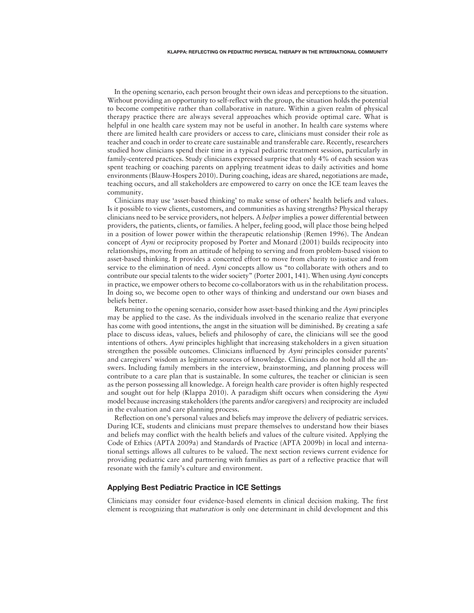In the opening scenario, each person brought their own ideas and perceptions to the situation. Without providing an opportunity to self-reflect with the group, the situation holds the potential to become competitive rather than collaborative in nature. Within a given realm of physical therapy practice there are always several approaches which provide optimal care. What is helpful in one health care system may not be useful in another. In health care systems where there are limited health care providers or access to care, clinicians must consider their role as teacher and coach in order to create care sustainable and transferable care. Recently, researchers studied how clinicians spend their time in a typical pediatric treatment session, particularly in family-centered practices. Study clinicians expressed surprise that only 4% of each session was spent teaching or coaching parents on applying treatment ideas to daily activities and home environments (Blauw-Hospers 2010). During coaching, ideas are shared, negotiations are made, teaching occurs, and all stakeholders are empowered to carry on once the ICE team leaves the community.

Clinicians may use 'asset-based thinking' to make sense of others' health beliefs and values. Is it possible to view clients, customers, and communities as having strengths? Physical therapy clinicians need to be service providers, not helpers. A *helper* implies a power differential between providers, the patients, clients, or families. A helper, feeling good, will place those being helped in a position of lower power within the therapeutic relationship (Remen 1996). The Andean concept of *Ayni* or reciprocity proposed by Porter and Monard (2001) builds reciprocity into relationships, moving from an attitude of helping to serving and from problem-based vision to asset-based thinking. It provides a concerted effort to move from charity to justice and from service to the elimination of need. *Ayni* concepts allow us "to collaborate with others and to contribute our special talents to the wider society" (Porter 2001, 141). When using *Ayni* concepts in practice, we empower others to become co-collaborators with us in the rehabilitation process. In doing so, we become open to other ways of thinking and understand our own biases and beliefs better.

Returning to the opening scenario, consider how asset-based thinking and the *Ayni* principles may be applied to the case. As the individuals involved in the scenario realize that everyone has come with good intentions, the angst in the situation will be diminished. By creating a safe place to discuss ideas, values, beliefs and philosophy of care, the clinicians will see the good intentions of others. *Ayni* principles highlight that increasing stakeholders in a given situation strengthen the possible outcomes. Clinicians influenced by *Ayni* principles consider parents' and caregivers' wisdom as legitimate sources of knowledge. Clinicians do not hold all the answers. Including family members in the interview, brainstorming, and planning process will contribute to a care plan that is sustainable. In some cultures, the teacher or clinician is seen as the person possessing all knowledge. A foreign health care provider is often highly respected and sought out for help (Klappa 2010). A paradigm shift occurs when considering the *Ayni* model because increasing stakeholders (the parents and/or caregivers) and reciprocity are included in the evaluation and care planning process.

Reflection on one's personal values and beliefs may improve the delivery of pediatric services. During ICE, students and clinicians must prepare themselves to understand how their biases and beliefs may conflict with the health beliefs and values of the culture visited. Applying the Code of Ethics (APTA 2009a) and Standards of Practice (APTA 2009b) in local and international settings allows all cultures to be valued. The next section reviews current evidence for providing pediatric care and partnering with families as part of a reflective practice that will resonate with the family's culture and environment.

#### Applying Best Pediatric Practice in ICE Settings

Clinicians may consider four evidence-based elements in clinical decision making. The first element is recognizing that *maturation* is only one determinant in child development and this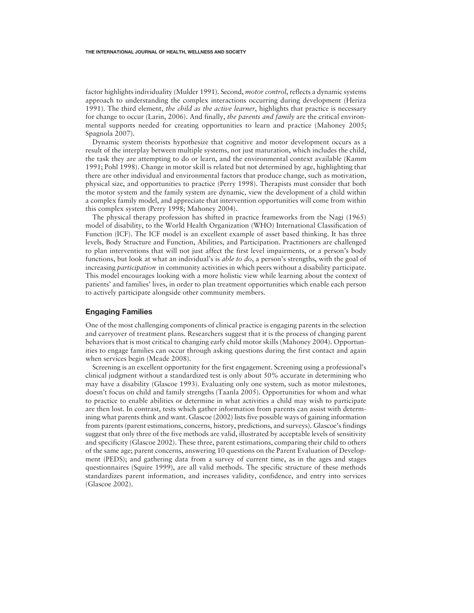factor highlights individuality (Mulder 1991). Second, *motor control*, reflects a dynamic systems approach to understanding the complex interactions occurring during development (Heriza 1991). The third element, *the child as the active learner*, highlights that practice is necessary for change to occur (Larin, 2006). And finally, *the parents and family* are the critical environmental supports needed for creating opportunities to learn and practice (Mahoney 2005; Spagnola 2007).

Dynamic system theorists hypothesize that cognitive and motor development occurs as a result of the interplay between multiple systems, not just maturation, which includes the child, the task they are attempting to do or learn, and the environmental context available (Kamm 1991; Pohl 1998). Change in motor skill is related but not determined by age, highlighting that there are other individual and environmental factors that produce change, such as motivation, physical size, and opportunities to practice (Perry 1998). Therapists must consider that both the motor system and the family system are dynamic, view the development of a child within a complex family model, and appreciate that intervention opportunities will come from within this complex system (Perry 1998; Mahoney 2004).

The physical therapy profession has shifted in practice frameworks from the Nagi (1965) model of disability, to the World Health Organization (WHO) International Classification of Function (ICF). The ICF model is an excellent example of asset based thinking. It has three levels, Body Structure and Function, Abilities, and Participation. Practitioners are challenged to plan interventions that will not just affect the first level impairments, or a person's body functions, but look at what an individual's is *able to do*, a person's strengths, with the goal of increasing *participation* in community activities in which peers without a disability participate. This model encourages looking with a more holistic view while learning about the context of patients' and families' lives, in order to plan treatment opportunities which enable each person to actively participate alongside other community members.

#### Engaging Families

One of the most challenging components of clinical practice is engaging parents in the selection and carryover of treatment plans. Researchers suggest that it is the process of changing parent behaviors that is most critical to changing early child motor skills (Mahoney 2004). Opportunities to engage families can occur through asking questions during the first contact and again when services begin (Meade 2008).

Screening is an excellent opportunity for the first engagement. Screening using a professional's clinical judgment without a standardized test is only about 50% accurate in determining who may have a disability (Glascoe 1993). Evaluating only one system, such as motor milestones, doesn't focus on child and family strengths (Taanla 2005). Opportunities for whom and what to practice to enable abilities or determine in what activities a child may wish to participate are then lost. In contrast, tests which gather information from parents can assist with determining what parents think and want. Glascoe (2002) lists five possible ways of gaining information from parents (parent estimations, concerns, history, predictions, and surveys). Glascoe's findings suggest that only three of the five methods are valid, illustrated by acceptable levels of sensitivity and specificity (Glascoe 2002). These three, parent estimations, comparing their child to others of the same age; parent concerns, answering 10 questions on the Parent Evaluation of Development (PEDS); and gathering data from a survey of current time, as in the ages and stages questionnaires (Squire 1999), are all valid methods. The specific structure of these methods standardizes parent information, and increases validity, confidence, and entry into services (Glascoe 2002).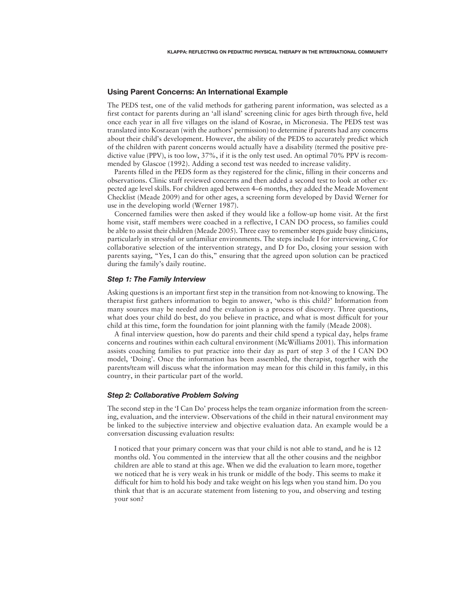#### Using Parent Concerns: An International Example

The PEDS test, one of the valid methods for gathering parent information, was selected as a first contact for parents during an 'all island' screening clinic for ages birth through five, held once each year in all five villages on the island of Kosrae, in Micronesia. The PEDS test was translated into Kosraean (with the authors' permission) to determine if parents had any concerns about their child's development. However, the ability of the PEDS to accurately predict which of the children with parent concerns would actually have a disability (termed the positive predictive value (PPV), is too low, 37%, if it is the only test used. An optimal 70% PPV is recommended by Glascoe (1992). Adding a second test was needed to increase validity.

Parents filled in the PEDS form as they registered for the clinic, filling in their concerns and observations. Clinic staff reviewed concerns and then added a second test to look at other expected age level skills. For children aged between 4–6 months, they added the Meade Movement Checklist (Meade 2009) and for other ages, a screening form developed by David Werner for use in the developing world (Werner 1987).

Concerned families were then asked if they would like a follow-up home visit. At the first home visit, staff members were coached in a reflective, I CAN DO process, so families could be able to assist their children (Meade 2005). Three easy to remember steps guide busy clinicians, particularly in stressful or unfamiliar environments. The steps include I for interviewing, C for collaborative selection of the intervention strategy, and D for Do, closing your session with parents saying, "Yes, I can do this," ensuring that the agreed upon solution can be practiced during the family's daily routine.

#### *Step 1: The Family Interview*

Asking questions is an important first step in the transition from not-knowing to knowing. The therapist first gathers information to begin to answer, 'who is this child?' Information from many sources may be needed and the evaluation is a process of discovery. Three questions, what does your child do best, do you believe in practice, and what is most difficult for your child at this time, form the foundation for joint planning with the family (Meade 2008).

A final interview question, how do parents and their child spend a typical day, helps frame concerns and routines within each cultural environment (McWilliams 2001). This information assists coaching families to put practice into their day as part of step 3 of the I CAN DO model, 'Doing'. Once the information has been assembled, the therapist, together with the parents/team will discuss what the information may mean for this child in this family, in this country, in their particular part of the world.

#### *Step 2: Collaborative Problem Solving*

The second step in the 'I Can Do' process helps the team organize information from the screening, evaluation, and the interview. Observations of the child in their natural environment may be linked to the subjective interview and objective evaluation data. An example would be a conversation discussing evaluation results:

I noticed that your primary concern was that your child is not able to stand, and he is 12 months old. You commented in the interview that all the other cousins and the neighbor children are able to stand at this age. When we did the evaluation to learn more, together we noticed that he is very weak in his trunk or middle of the body. This seems to make it difficult for him to hold his body and take weight on his legs when you stand him. Do you think that that is an accurate statement from listening to you, and observing and testing your son?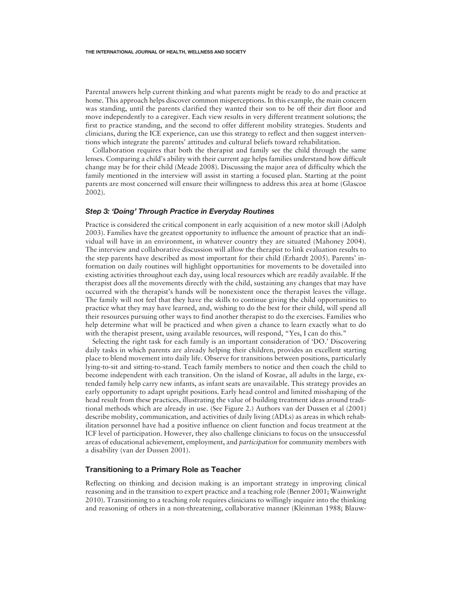Parental answers help current thinking and what parents might be ready to do and practice at home. This approach helps discover common misperceptions. In this example, the main concern was standing, until the parents clarified they wanted their son to be off their dirt floor and move independently to a caregiver. Each view results in very different treatment solutions; the first to practice standing, and the second to offer different mobility strategies. Students and clinicians, during the ICE experience, can use this strategy to reflect and then suggest interventions which integrate the parents' attitudes and cultural beliefs toward rehabilitation.

Collaboration requires that both the therapist and family see the child through the same lenses. Comparing a child's ability with their current age helps families understand how difficult change may be for their child (Meade 2008). Discussing the major area of difficulty which the family mentioned in the interview will assist in starting a focused plan. Starting at the point parents are most concerned will ensure their willingness to address this area at home (Glascoe 2002).

#### *Step 3: 'Doing' Through Practice in Everyday Routines*

Practice is considered the critical component in early acquisition of a new motor skill (Adolph 2003). Families have the greatest opportunity to influence the amount of practice that an individual will have in an environment, in whatever country they are situated (Mahoney 2004). The interview and collaborative discussion will allow the therapist to link evaluation results to the step parents have described as most important for their child (Erhardt 2005). Parents' information on daily routines will highlight opportunities for movements to be dovetailed into existing activities throughout each day, using local resources which are readily available. If the therapist does all the movements directly with the child, sustaining any changes that may have occurred with the therapist's hands will be nonexistent once the therapist leaves the village. The family will not feel that they have the skills to continue giving the child opportunities to practice what they may have learned, and, wishing to do the best for their child, will spend all their resources pursuing other ways to find another therapist to do the exercises. Families who help determine what will be practiced and when given a chance to learn exactly what to do with the therapist present, using available resources, will respond, "Yes, I can do this."

Selecting the right task for each family is an important consideration of 'DO.' Discovering daily tasks in which parents are already helping their children, provides an excellent starting place to blend movement into daily life. Observe for transitions between positions, particularly lying-to-sit and sitting-to-stand. Teach family members to notice and then coach the child to become independent with each transition. On the island of Kosrae, all adults in the large, extended family help carry new infants, as infant seats are unavailable. This strategy provides an early opportunity to adapt upright positions. Early head control and limited misshaping of the head result from these practices, illustrating the value of building treatment ideas around traditional methods which are already in use. (See Figure 2.) Authors van der Dussen et al (2001) describe mobility, communication, and activities of daily living (ADLs) as areas in which rehabilitation personnel have had a positive influence on client function and focus treatment at the ICF level of participation. However, they also challenge clinicians to focus on the unsuccessful areas of educational achievement, employment, and *participation* for community members with a disability (van der Dussen 2001).

#### Transitioning to a Primary Role as Teacher

Reflecting on thinking and decision making is an important strategy in improving clinical reasoning and in the transition to expert practice and a teaching role (Benner 2001; Wainwright 2010). Transitioning to a teaching role requires clinicians to willingly inquire into the thinking and reasoning of others in a non-threatening, collaborative manner (Kleinman 1988; Blauw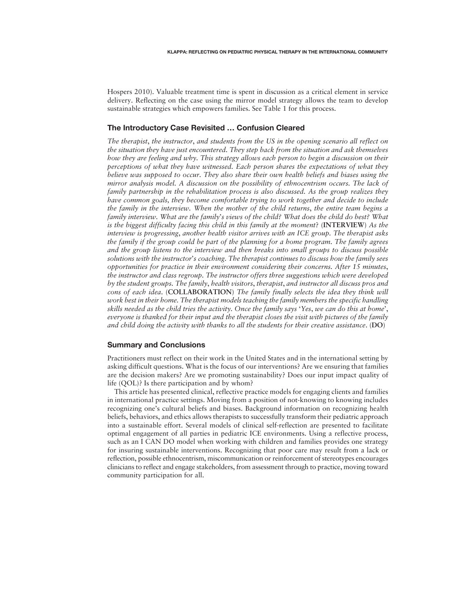Hospers 2010). Valuable treatment time is spent in discussion as a critical element in service delivery. Reflecting on the case using the mirror model strategy allows the team to develop sustainable strategies which empowers families. See Table 1 for this process.

#### The Introductory Case Revisited … Confusion Cleared

*The therapist*, *the instructor*, *and students from the US in the opening scenario all reflect on the situation they have just encountered. They step back from the situation and ask themselves how they are feeling and why. This strategy allows each person to begin a discussion on their perceptions of what they have witnessed. Each person shares the expectations of what they believe was supposed to occur. They also share their own health beliefs and biases using the mirror analysis model. A discussion on the possibility of ethnocentrism occurs. The lack of family partnership in the rehabilitation process is also discussed. As the group realizes they have common goals, they become comfortable trying to work together and decide to include the family in the interview. When the mother of the child returns*, *the entire team begins a family interview. What are the family*'*s views of the child? What does the child do best? What is the biggest difficulty facing this child in this family at the moment*? (**INTERVIEW**) *As the interview is progressing*, *another health visitor arrives with an ICE group. The therapist asks the family if the group could be part of the planning for a home program. The family agrees and the group listens to the interview and then breaks into small groups to discuss possible solutions with the instructor*'*s coaching. The therapist continues to discuss how the family sees opportunities for practice in their environment considering their concerns. After 15 minutes*, *the instructor and class regroup. The instructor offers three suggestions which were developed by the student groups. The family*, *health visitors*, *therapist*, *and instructor all discuss pros and cons of each idea*. (**COLLABORATION**) *The family finally selects the idea they think will work best in their home. The therapist models teaching the family members the specific handling skills needed as the child tries the activity. Once the family says* '*Yes*, *we can do this at home*', *everyone is thanked for their input and the therapist closes the visit with pictures of the family and child doing the activity with thanks to all the students for their creative assistance*. (**DO**)

#### Summary and Conclusions

Practitioners must reflect on their work in the United States and in the international setting by asking difficult questions. What is the focus of our interventions? Are we ensuring that families are the decision makers? Are we promoting sustainability? Does our input impact quality of life (QOL)? Is there participation and by whom?

This article has presented clinical, reflective practice models for engaging clients and families in international practice settings. Moving from a position of not-knowing to knowing includes recognizing one's cultural beliefs and biases. Background information on recognizing health beliefs, behaviors, and ethics allows therapists to successfully transform their pediatric approach into a sustainable effort. Several models of clinical self-reflection are presented to facilitate optimal engagement of all parties in pediatric ICE environments. Using a reflective process, such as an I CAN DO model when working with children and families provides one strategy for insuring sustainable interventions. Recognizing that poor care may result from a lack or reflection, possible ethnocentrism, miscommunication or reinforcement of stereotypes encourages clinicians to reflect and engage stakeholders, from assessment through to practice, moving toward community participation for all.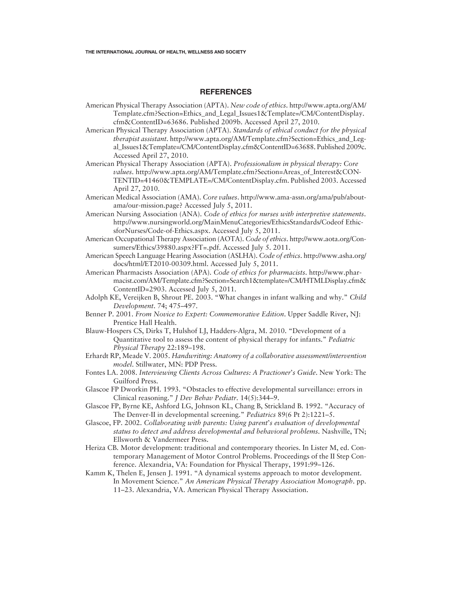#### REFERENCES

- American Physical Therapy Association (APTA). *New code of ethics*. http://www.apta.org/AM/ Template.cfm?Section=Ethics\_and\_Legal\_Issues1&Template=/CM/ContentDisplay. cfm&ContentID=63686. Published 2009b. Accessed April 27, 2010.
- American Physical Therapy Association (APTA). *Standards of ethical conduct for the physical therapist assistant*. http://www.apta.org/AM/Template.cfm?Section=Ethics\_and\_Legal\_Issues1&Template=/CM/ContentDisplay.cfm&ContentID=63688. Published 2009c. Accessed April 27, 2010.
- American Physical Therapy Association (APTA). *Professionalism in physical therapy: Core values*. http://www.apta.org/AM/Template.cfm?Section=Areas\_of\_Interest&CON-TENTID=41460&TEMPLATE=/CM/ContentDisplay.cfm. Published 2003. Accessed April 27, 2010.
- American Medical Association (AMA). *Core values*. http://www.ama-assn.org/ama/pub/aboutama/our-mission.page? Accessed July 5, 2011.
- American Nursing Association (ANA). *Code of ethics for nurses with interpretive statements*. http://www.nursingworld.org/MainMenuCategories/EthicsStandards/Codeof EthicsforNurses/Code-of-Ethics.aspx. Accessed July 5, 2011.
- American Occupational Therapy Association (AOTA). *Code of ethics*. http://www.aota.org/Consumers/Ethics/39880.aspx?FT=.pdf. Accessed July 5. 2011.
- American Speech Language Hearing Association (ASLHA). *Code of ethics*. http://www.asha.org/ docs/html/ET2010-00309.html. Accessed July 5, 2011.
- American Pharmacists Association (APA). *Code of ethics for pharmacists*. http://www.pharmacist.com/AM/Template.cfm?Section=Search1&template=/CM/HTMLDisplay.cfm& ContentID=2903. Accessed July 5, 2011.
- Adolph KE, Vereijken B, Shrout PE. 2003. "What changes in infant walking and why." *Child Development*. 74; 475–497.
- Benner P. 2001. *From Novice to Expert: Commemorative Edition*. Upper Saddle River, NJ: Prentice Hall Health.
- Blauw-Hospers CS, Dirks T, Hulshof LJ, Hadders-Algra, M. 2010. "Development of a Quantitative tool to assess the content of physical therapy for infants." *Pediatric Physical Therapy* 22:189–198.
- Erhardt RP, Meade V. 2005. *Handwriting: Anatomy of a collaborative assessment/intervention model*. Stillwater, MN: PDP Press.
- Fontes LA. 2008. *Interviewing Clients Across Cultures: A Practioner*'*s Guide*. New York: The Guilford Press.
- Glascoe FP Dworkin PH. 1993. "Obstacles to effective developmental surveillance: errors in Clinical reasoning." *J Dev Behav Pediatr*. 14(5):344–9.
- Glascoe FP, Byrne KE, Ashford LG, Johnson KL, Chang B, Strickland B. 1992. "Accuracy of The Denver-II in developmental screening." *Pediatrics* 89(6 Pt 2):1221–5.
- Glascoe, FP. 2002. *Collaborating with parents: Using parent*'*s evaluation of developmental status to detect and address developmental and behavioral problems*. Nashville, TN; Ellsworth & Vandermeer Press.
- Heriza CB. Motor development: traditional and contemporary theories. In Lister M, ed. Contemporary Management of Motor Control Problems. Proceedings of the II Step Conference. Alexandria, VA: Foundation for Physical Therapy, 1991:99–126.
- Kamm K, Thelen E, Jensen J. 1991. "A dynamical systems approach to motor development. In Movement Science." *An American Physical Therapy Association Monograph*. pp. 11–23. Alexandria, VA. American Physical Therapy Association.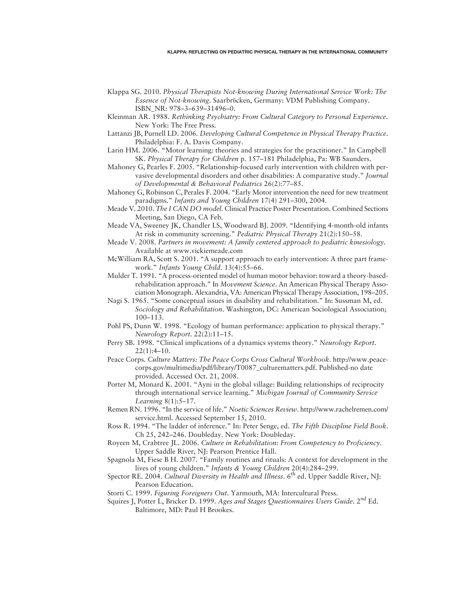- Klappa SG. 2010. *Physical Therapists Not*-*knowing During International Service Work: The Essence of Not*-*knowing*. Saarbrϋcken, Germany: VDM Publishing Company. ISBN\_NR: 978–3–639–31496–0.
- Kleinman AR. 1988. *Rethinking Psychiatry: From Cultural Category to Personal Experience*. New York: The Free Press.
- Lattanzi JB, Purnell LD. 2006. *Developing Cultural Competence in Physical Therapy Practice*. Philadelphia: F. A. Davis Company.
- Larin HM. 2006. "Motor learning: theories and strategies for the practitioner." In Campbell SK. *Physical Therapy for Children* p. 157–181 Philadelphia, Pa: WB Saunders.
- Mahoney G, Pearles F. 2005. "Relationship-focused early intervention with children with pervasive developmental disorders and other disabilities: A comparative study." *Journal of Developmental & Behavioral Pediatrics* 26(2):77–85.
- Mahoney G, Robinson C, Perales F. 2004. "Early Motor intervention the need for new treatment paradigms." *Infants and Young Children* 17(4) 291–300, 2004.
- Meade V. 2010. *The I CAN DO model*. Clinical Practice Poster Presentation. Combined Sections Meeting, San Diego, CA Feb.
- Meade VA, Sweeney JK, Chandler LS, Woodward BJ. 2009. "Identifying 4-month-old infants At risk in community screening." *Pediatric Physical Therapy* 21(2):150–58.
- Meade V. 2008. *Partners in movement: A family centered approach to pediatric kinesiology*. Available at www.vickiemeade.com
- McWilliam RA, Scott S. 2001. "A support approach to early intervention: A three part framework." *Infants Young Child*. 13(4):55–66.
- Mulder T. 1991. "A process-oriented model of human motor behavior: toward a theory-basedrehabilitation approach." In *Movement Science*. An American Physical Therapy Association Monograph. Alexandria, VA: American Physical Therapy Association, 198–205.
- Nagi S. 1965. "Some conceptual issues in disability and rehabilitation." In: Sussman M, ed. *Sociology and Rehabilitation*. Washington, DC: American Sociological Association; 100–113.
- Pohl PS, Dunn W. 1998. "Ecology of human performance: application to physical therapy." *Neurology Report*. 22(2):11–15.
- Perry SB. 1998. "Clinical implications of a dynamics systems theory." *Neurology Report*.  $22(1):4-10.$
- Peace Corps. *Culture Matters: The Peace Corps Cross Cultural Workbook*. http://www.peacecorps.gov/multimedia/pdf/library/T0087\_culturematters.pdf. Published-no date provided. Accessed Oct. 21, 2008.
- Porter M, Monard K. 2001. "Ayni in the global village: Building relationships of reciprocity through international service learning." *Michigan Journal of Community Service Learning* 8(1):5–17.
- Remen RN. 1996. "In the service of life." *Noetic Sciences Review*. http://www.rachelremen.com/ service.html. Accessed September 15, 2010.
- Ross R. 1994. "The ladder of inference." In: Peter Senge, ed. *The Fifth Discipline Field Book*. Ch 25, 242–246. Doubleday. New York: Doubleday.
- Royeen M, Crabtree JL. 2006. *Culture in Rehabilitation: From Competency to Proficiency*. Upper Saddle River, NJ: Pearson Prentice Hall.
- Spagnola M, Fiese B H. 2007. "Family routines and rituals: A context for development in the lives of young children." *Infants & Young Children* 20(4):284–299.
- Spector RE. 2004. *Cultural Diversity in Health and Illness*. 6<sup>th</sup> ed. Upper Saddle River, NJ: Pearson Education.
- Storti C. 1999. *Figuring Foreigners Out*. Yarmouth, MA: Intercultural Press.
- Squires J, Potter L, Bricker D. 1999. *Ages and Stages Questionnaires Users Guide*. 2nd Ed. Baltimore, MD: Paul H Brookes.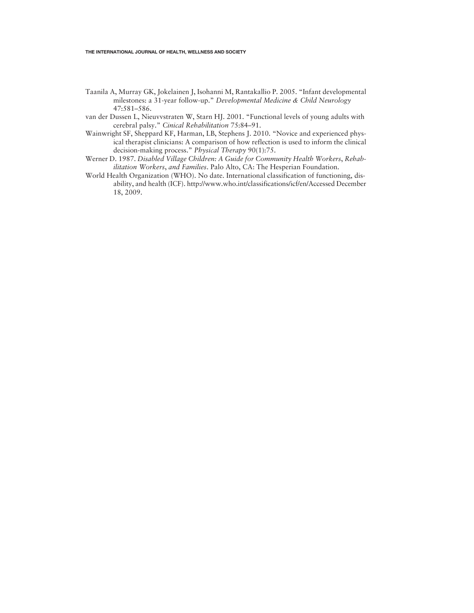- Taanila A, Murray GK, Jokelainen J, Isohanni M, Rantakallio P. 2005. "Infant developmental milestones: a 31-year follow-up." *Developmental Medicine & Child Neurology* 47:581–586.
- van der Dussen L, Nieuvvstraten W, Starn HJ. 2001. "Functional levels of young adults with cerebral palsy." *Cinical Rehabilitation* 75:84–91.
- Wainwright SF, Sheppard KF, Harman, LB, Stephens J. 2010. "Novice and experienced physical therapist clinicians: A comparison of how reflection is used to inform the clinical decision-making process." *Physical Therapy* 90(1):75.
- Werner D. 1987. *Disabled Village Children: A Guide for Community Health Workers*, *Rehabilitation Workers*, *and Families*. Palo Alto, CA: The Hesperian Foundation.
- World Health Organization (WHO). No date. International classification of functioning, disability, and health (ICF). http://www.who.int/classifications/icf/en/Accessed December 18, 2009.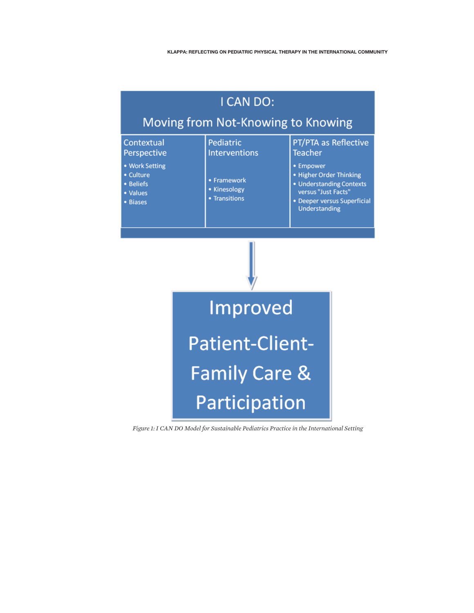

*Figure 1: I CAN DO Model for Sustainable Pediatrics Practice in the International Setting*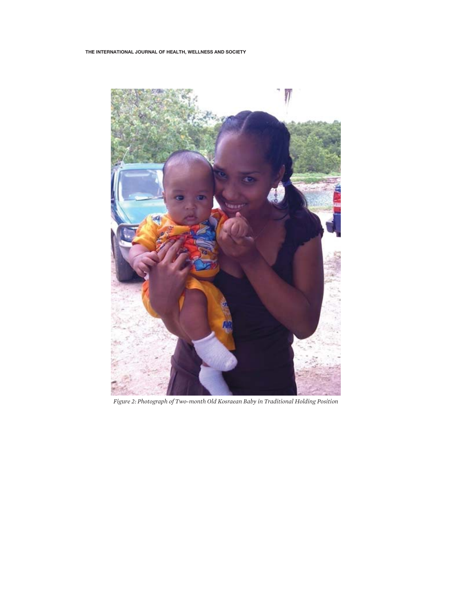

*Figure 2: Photograph of Two-month Old Kosraean Baby in Traditional Holding Position*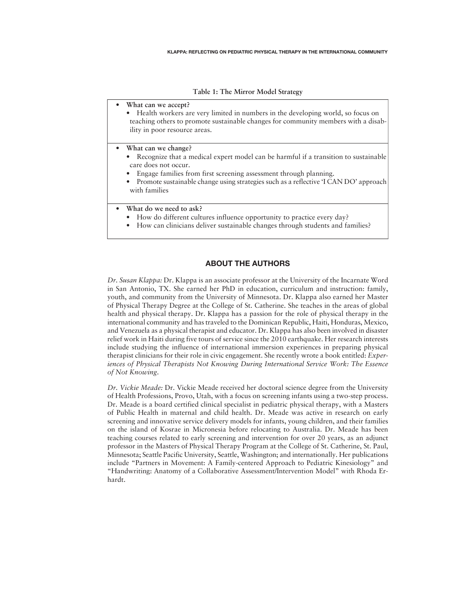**Table 1: The Mirror Model Strategy**

• **What can we accept?**

• Health workers are very limited in numbers in the developing world, so focus on teaching others to promote sustainable changes for community members with a disability in poor resource areas.

- **What can we change?**
	- Recognize that a medical expert model can be harmful if a transition to sustainable care does not occur.
	- Engage families from first screening assessment through planning.
	- Promote sustainable change using strategies such as a reflective 'I CAN DO' approach with families
- **What do we need to ask?**
	- How do different cultures influence opportunity to practice every day?
	- How can clinicians deliver sustainable changes through students and families?

### ABOUT THE AUTHORS

*Dr. Susan Klappa:* Dr. Klappa is an associate professor at the University of the Incarnate Word in San Antonio, TX. She earned her PhD in education, curriculum and instruction: family, youth, and community from the University of Minnesota. Dr. Klappa also earned her Master of Physical Therapy Degree at the College of St. Catherine. She teaches in the areas of global health and physical therapy. Dr. Klappa has a passion for the role of physical therapy in the international community and has traveled to the Dominican Republic, Haiti, Honduras, Mexico, and Venezuela as a physical therapist and educator. Dr. Klappa has also been involved in disaster relief work in Haiti during five tours of service since the 2010 earthquake. Her research interests include studying the influence of international immersion experiences in preparing physical therapist clinicians for their role in civic engagement. She recently wrote a book entitled: *Experiences of Physical Therapists Not Knowing During International Service Work: The Essence of Not Knowing*.

*Dr. Vickie Meade:* Dr. Vickie Meade received her doctoral science degree from the University of Health Professions, Provo, Utah, with a focus on screening infants using a two-step process. Dr. Meade is a board certified clinical specialist in pediatric physical therapy, with a Masters of Public Health in maternal and child health. Dr. Meade was active in research on early screening and innovative service delivery models for infants, young children, and their families on the island of Kosrae in Micronesia before relocating to Australia. Dr. Meade has been teaching courses related to early screening and intervention for over 20 years, as an adjunct professor in the Masters of Physical Therapy Program at the College of St. Catherine, St. Paul, Minnesota; Seattle Pacific University, Seattle, Washington; and internationally. Her publications include "Partners in Movement: A Family-centered Approach to Pediatric Kinesiology" and "Handwriting: Anatomy of a Collaborative Assessment/Intervention Model" with Rhoda Erhardt.